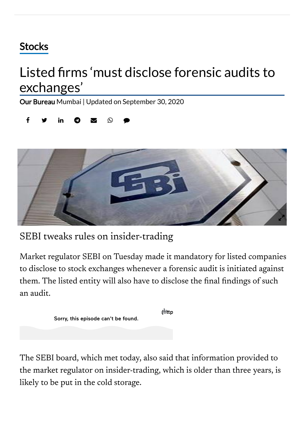## **[Stocks](https://www.thehindubusinessline.com/markets/stock-markets/)**

## Listed firms 'must disclose forensic audits to exchanges'

Our [Bureau](https://www.thehindubusinessline.com/profile/author/Our-Bureau-15447/) Mumbai | Updated on September 30, 2020





SEBI tweaks rules on insider-trading

Market regulator SEBI on Tuesday made it mandatory for listed companies to disclose to stock exchanges whenever a forensic audit is initiated against them. The listed entity will also have to disclose the final findings of such an audit.

|                                     | tMttp |
|-------------------------------------|-------|
| Sorry, this episode can't be found. |       |

The SEBI board, which met today, also said that information provided to the market regulator on insider-trading, which is older than three years, is likely to be put in the cold storage.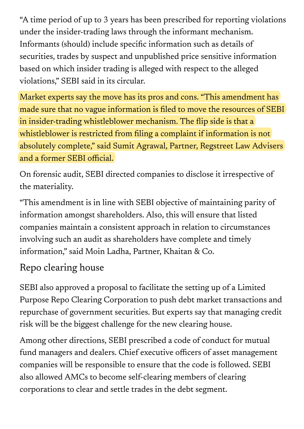"A time period of up to 3 years has been prescribed for reporting violations under the insider-trading laws through the informant mechanism. Informants (should) include specific information such as details of securities, trades by suspect and unpublished price sensitive information based on which insider trading is alleged with respect to the alleged violations," SEBI said in its circular.

Market experts say the move has its pros and cons. "This amendment has made sure that no vague information is filed to move the resources of SEBI in insider-trading whistleblower mechanism. The flip side is that a whistleblower is restricted from filing a complaint if information is not absolutely complete," said Sumit Agrawal, Partner, Regstreet Law Advisers and a former SEBI official.

On forensic audit, SEBI directed companies to disclose it irrespective of the materiality.

"This amendment is in line with SEBI objective of maintaining parity of information amongst shareholders. Also, this will ensure that listed companies maintain a consistent approach in relation to circumstances involving such an audit as shareholders have complete and timely information," said Moin Ladha, Partner, Khaitan & Co.

## Repo clearing house

SEBI also approved a proposal to facilitate the setting up of a Limited Purpose Repo Clearing Corporation to push debt market transactions and repurchase of government securities. But experts say that managing credit risk will be the biggest challenge for the new clearing house.

Among other directions, SEBI prescribed a code of conduct for mutual fund managers and dealers. Chief executive officers of asset management companies will be responsible to ensure that the code is followed. SEBI also allowed AMCs to become self-clearing members of clearing corporations to clear and settle trades in the debt segment.